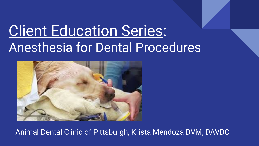# **Client Education Series:** Anesthesia for Dental Procedures



Animal Dental Clinic of Pittsburgh, Krista Mendoza DVM, DAVDC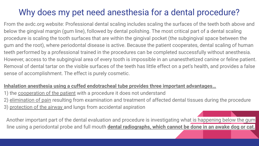#### Why does my pet need anesthesia for a dental procedure?

From the avdc.org website: Professional dental scaling includes scaling the surfaces of the teeth both above and below the gingival margin (gum line), followed by dental polishing. The most critical part of a dental scaling procedure is scaling the tooth surfaces that are within the gingival pocket (the subgingival space between the gum and the root), where periodontal disease is active. Because the patient cooperates, dental scaling of human teeth performed by a professional trained in the procedures can be completed successfully without anesthesia. However, access to the subgingival area of every tooth is impossible in an unanesthetized canine or feline patient. Removal of dental tartar on the visible surfaces of the teeth has little effect on a pet's health, and provides a false sense of accomplishment. The effect is purely cosmetic.

#### **Inhalation anesthesia using a cuffed endotracheal tube provides three important advantages…**

- 1) the cooperation of the patient with a procedure it does not understand
- 2) elimination of pain resulting from examination and treatment of affected dental tissues during the procedure
- 3) protection of the airway and lungs from accidental aspiration

Another important part of the dental evaluation and procedure is investigating what is happening below the gum line using a periodontal probe and full mouth **dental radiographs, which cannot be done in an awake dog or cat.**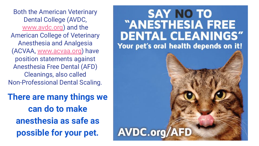Both the American Veterinary Dental College (AVDC, [www.avdc.org](http://www.avdc.org)) and the American College of Veterinary Anesthesia and Analgesia (ACVAA, [www.acvaa.org\)](http://www.acvaa.org) have position statements against Anesthesia Free Dental (AFD) Cleanings, also called Non-Professional Dental Scaling.

**There are many things we can do to make anesthesia as safe as possible for your pet.**

#### **SAY NO TO** "ANESTHESIA FREE **DENTAL CLEANINGS"** Your pet's oral health depends on it!

**AVDC.org/AFD**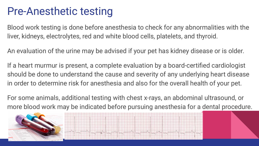#### Pre-Anesthetic testing

Blood work testing is done before anesthesia to check for any abnormalities with the liver, kidneys, electrolytes, red and white blood cells, platelets, and thyroid.

An evaluation of the urine may be advised if your pet has kidney disease or is older.

If a heart murmur is present, a complete evaluation by a board-certified cardiologist should be done to understand the cause and severity of any underlying heart disease in order to determine risk for anesthesia and also for the overall health of your pet.

For some animals, additional testing with chest x-rays, an abdominal ultrasound, or more blood work may be indicated before pursuing anesthesia for a dental procedure.



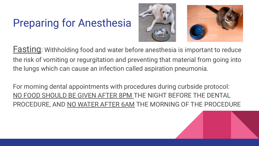## Preparing for Anesthesia



**Fasting:** Withholding food and water before anesthesia is important to reduce the risk of vomiting or regurgitation and preventing that material from going into the lungs which can cause an infection called aspiration pneumonia.

For morning dental appointments with procedures during curbside protocol: NO FOOD SHOULD BE GIVEN AFTER 8PM THE NIGHT BEFORE THE DENTAL PROCEDURE, AND NO WATER AFTER 6AM THE MORNING OF THE PROCEDURE

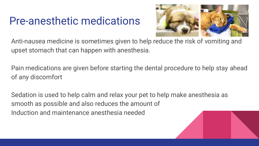#### Pre-anesthetic medications



Anti-nausea medicine is sometimes given to help reduce the risk of vomiting and upset stomach that can happen with anesthesia.

Pain medications are given before starting the dental procedure to help stay ahead of any discomfort

Sedation is used to help calm and relax your pet to help make anesthesia as smooth as possible and also reduces the amount of Induction and maintenance anesthesia needed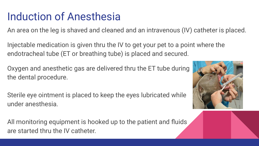### Induction of Anesthesia

An area on the leg is shaved and cleaned and an intravenous (IV) catheter is placed.

Injectable medication is given thru the IV to get your pet to a point where the endotracheal tube (ET or breathing tube) is placed and secured.

Oxygen and anesthetic gas are delivered thru the ET tube during the dental procedure.

Sterile eye ointment is placed to keep the eyes lubricated while under anesthesia.

All monitoring equipment is hooked up to the patient and fluids are started thru the IV catheter.

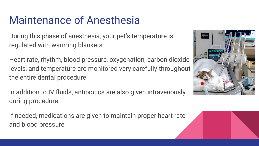## Maintenance of Anesthesia

During this phase of anesthesia, your pet's temperature is regulated with warming blankets.

Heart rate, rhythm, blood pressure, oxygenation, carbon dioxide levels, and temperature are monitored very carefully throughout the entire dental procedure.

In addition to IV fluids, antibiotics are also given intravenously during procedure.

If needed, medications are given to maintain proper heart rate and blood pressure.

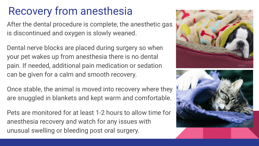## Recovery from anesthesia

After the dental procedure is complete, the anesthetic gas is discontinued and oxygen is slowly weaned.

Dental nerve blocks are placed during surgery so when your pet wakes up from anesthesia there is no dental pain. If needed, additional pain medication or sedation can be given for a calm and smooth recovery.

Once stable, the animal is moved into recovery where they are snuggled in blankets and kept warm and comfortable.

Pets are monitored for at least 1-2 hours to allow time for anesthesia recovery and watch for any issues with unusual swelling or bleeding post oral surgery.



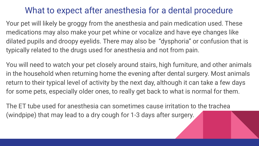#### What to expect after anesthesia for a dental procedure

Your pet will likely be groggy from the anesthesia and pain medication used. These medications may also make your pet whine or vocalize and have eye changes like dilated pupils and droopy eyelids. There may also be "dysphoria" or confusion that is typically related to the drugs used for anesthesia and not from pain.

You will need to watch your pet closely around stairs, high furniture, and other animals in the household when returning home the evening after dental surgery. Most animals return to their typical level of activity by the next day, although it can take a few days for some pets, especially older ones, to really get back to what is normal for them.

The ET tube used for anesthesia can sometimes cause irritation to the trachea (windpipe) that may lead to a dry cough for 1-3 days after surgery.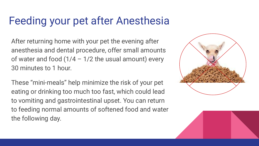## Feeding your pet after Anesthesia

After returning home with your pet the evening after anesthesia and dental procedure, offer small amounts of water and food  $(1/4 - 1/2)$  the usual amount) every 30 minutes to 1 hour.

These "mini-meals" help minimize the risk of your pet eating or drinking too much too fast, which could lead to vomiting and gastrointestinal upset. You can return to feeding normal amounts of softened food and water the following day.